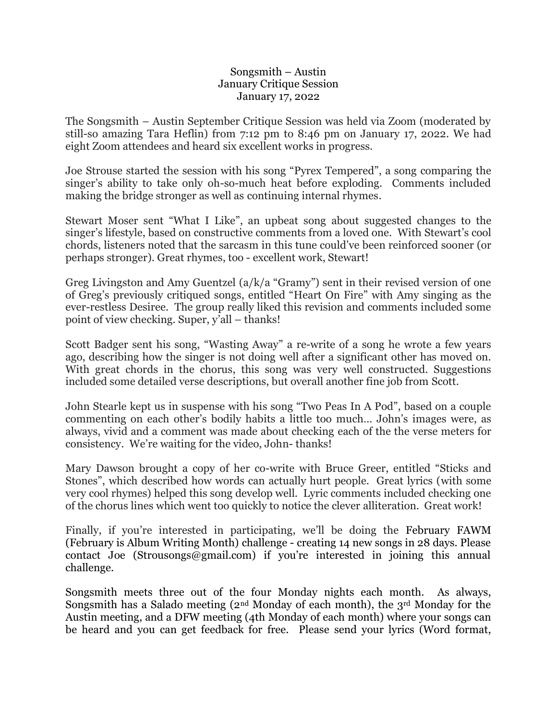## Songsmith – Austin January Critique Session January 17, 2022

The Songsmith – Austin September Critique Session was held via Zoom (moderated by still-so amazing Tara Heflin) from 7:12 pm to 8:46 pm on January 17, 2022. We had eight Zoom attendees and heard six excellent works in progress.

Joe Strouse started the session with his song "Pyrex Tempered", a song comparing the singer's ability to take only oh-so-much heat before exploding. Comments included making the bridge stronger as well as continuing internal rhymes.

Stewart Moser sent "What I Like", an upbeat song about suggested changes to the singer's lifestyle, based on constructive comments from a loved one. With Stewart's cool chords, listeners noted that the sarcasm in this tune could've been reinforced sooner (or perhaps stronger). Great rhymes, too - excellent work, Stewart!

Greg Livingston and Amy Guentzel (a/k/a "Gramy") sent in their revised version of one of Greg's previously critiqued songs, entitled "Heart On Fire" with Amy singing as the ever-restless Desiree. The group really liked this revision and comments included some point of view checking. Super, y'all – thanks!

Scott Badger sent his song, "Wasting Away" a re-write of a song he wrote a few years ago, describing how the singer is not doing well after a significant other has moved on. With great chords in the chorus, this song was very well constructed. Suggestions included some detailed verse descriptions, but overall another fine job from Scott.

John Stearle kept us in suspense with his song "Two Peas In A Pod", based on a couple commenting on each other's bodily habits a little too much… John's images were, as always, vivid and a comment was made about checking each of the the verse meters for consistency. We're waiting for the video, John- thanks!

Mary Dawson brought a copy of her co-write with Bruce Greer, entitled "Sticks and Stones", which described how words can actually hurt people. Great lyrics (with some very cool rhymes) helped this song develop well. Lyric comments included checking one of the chorus lines which went too quickly to notice the clever alliteration. Great work!

Finally, if you're interested in participating, we'll be doing the February FAWM (February is Album Writing Month) challenge - creating 14 new songs in 28 days. Please contact Joe (Strousongs@gmail.com) if you're interested in joining this annual challenge.

Songsmith meets three out of the four Monday nights each month. As always, Songsmith has a Salado meeting  $(2<sup>nd</sup> Monday of each month)$ , the 3<sup>rd</sup> Monday for the Austin meeting, and a DFW meeting (4th Monday of each month) where your songs can be heard and you can get feedback for free. Please send your lyrics (Word format,